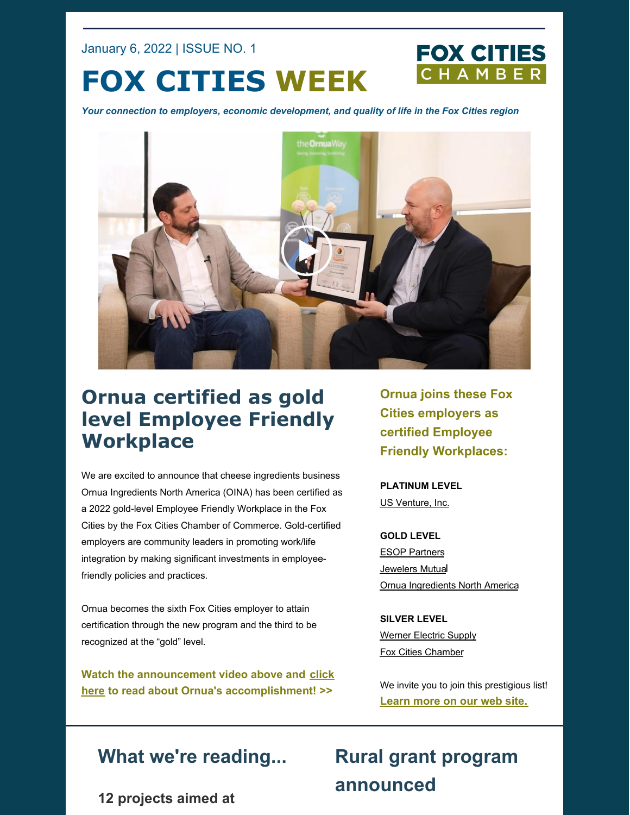January 6, 2022 | ISSUE NO. 1

# **FOX CITIES WEEK**

*Your connection to employers, economic development, and quality of life in the Fox Cities region*



# **Ornua certified as gold level Employee Friendly Workplace**

We are excited to announce that cheese ingredients business Ornua Ingredients North America (OINA) has been certified as a 2022 gold-level Employee Friendly Workplace in the Fox Cities by the Fox Cities Chamber of Commerce. Gold-certified employers are community leaders in promoting work/life integration by making significant investments in employeefriendly policies and practices.

Ornua becomes the sixth Fox Cities employer to attain certification through the new program and the third to be recognized at the "gold" level.

**Watch the announcement video above and click here to read about Ornua's [accomplishment!](https://foxcitieschamber.com/news/2022/01/06/member-news/ornua-ingredients-north-america-becomes-gold-certified-fox-cities-employee-friendly-workplace/) >>**

**Ornua joins these Fox Cities employers as certified Employee Friendly Workplaces:**

**FOX CITIES** CHAMBER

**PLATINUM LEVEL** US [Venture,](https://www.usventure.com/) Inc.

**GOLD LEVEL** ESOP [Partners](https://www.esoppartners.com/) [Jewelers](https://www.jewelersmutual.com/) Mutual Ornua [Ingredients](https://www.ornua.com/) North America

**SILVER LEVEL** [Werner](https://www.wernerelectric.com/) Electric Supply Fox Cities [Chamber](http://www.foxcitieschamber.com/)

We invite you to join this prestigious list! **[Learn](https://foxcitieschamber.com/employee-friendly-workplace) more on our web site.**

## **What we're reading...**

# **Rural grant program announced**

**12 projects aimed at**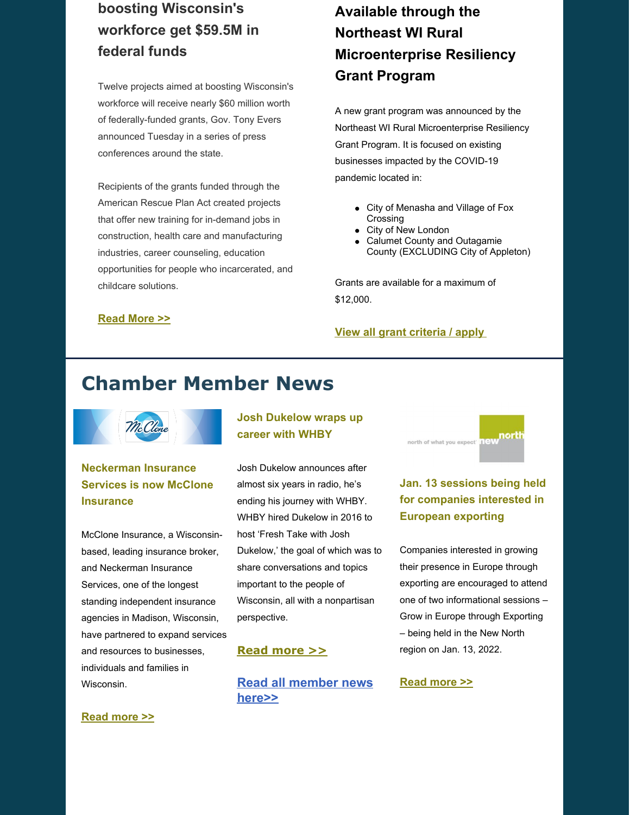## **boosting Wisconsin's workforce get \$59.5M in federal funds**

Twelve projects aimed at boosting Wisconsin's workforce will receive nearly \$60 million worth of federally-funded grants, Gov. Tony Evers announced Tuesday in a series of press conferences around the state.

Recipients of the grants funded through the American Rescue Plan Act created projects that offer new training for in-demand jobs in construction, health care and manufacturing industries, career counseling, education opportunities for people who incarcerated, and childcare solutions.

## **Available through the Northeast WI Rural Microenterprise Resiliency Grant Program**

A new grant program was announced by the Northeast WI Rural Microenterprise Resiliency Grant Program. It is focused on existing businesses impacted by the COVID-19 pandemic located in:

- City of [Menasha](https://www.wwbic.com/wp-content/uploads/2021/06/Northeast-WI-Resiliency-Grants-Winnebago-Cty.pdf) and Village of Fox Crossing
- City of New [London](https://www.wwbic.com/wp-content/uploads/2021/06/Northeast-WI-Resiliency-Grants-Waupaca-Cty.pdf)
- Calumet County and Outagamie County [\(EXCLUDING](https://www.wwbic.com/wp-content/uploads/2021/06/Northeast-WI-Resiliency-Grants-Calumet-Outagamie-Cty.pdf) City of Appleton)

Grants are available for a maximum of \$12,000.

## **[Read](https://www.postcrescent.com/story/news/politics/2021/12/14/12-projects-aimed-boosting-wisconsins-workforce-get-59-5-million-federal-funds/6506943001/) More >>**

#### **View all grant [criteria](https://www.wwbic.com/the-northeast-wi-rural-microenterprise-resiliency-grant-program/) / apply**

## **Chamber Member News**



## **Neckerman Insurance Services is now McClone Insurance**

McClone Insurance, a Wisconsinbased, leading insurance broker, and Neckerman Insurance Services, one of the longest standing independent insurance agencies in Madison, Wisconsin, have partnered to expand services and resources to businesses, individuals and families in Wisconsin.

### **Josh Dukelow wraps up career with WHBY**

Josh Dukelow announces after almost six years in radio, he's ending his journey with WHBY. WHBY hired Dukelow in 2016 to host 'Fresh Take with Josh Dukelow,' the goal of which was to share conversations and topics important to the people of Wisconsin, all with a nonpartisan perspective.

### **Read [more](https://foxcitieschamber.com/news/2022/01/05/member-news/josh-dukelow-wraps-up-career-with-whby/) >>**

**Read all [member](https://foxcitieschamber.com/news/1/) news here>>**



## **Jan. 13 sessions being held for companies interested in European exporting**

Companies interested in growing their presence in Europe through exporting are encouraged to attend one of two informational sessions – Grow in Europe through Exporting – being held in the New North region on Jan. 13, 2022.

#### **[Read](https://foxcitieschamber.com/news/2022/01/05/member-news/jan.-13-sessions-being-held-for-companies-interested-in-european-exporting/) more >>**

#### **[Read](https://foxcitieschamber.com/news/2022/01/05/member-news/neckerman-insurance-services-is-now-mcclone-insurance/) more >>**